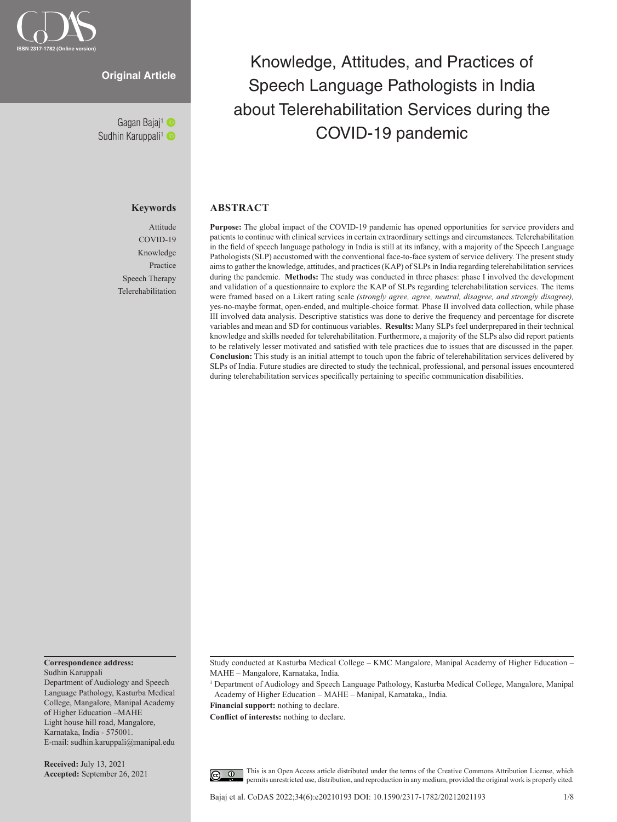

# **Original Article**

Sudhin Karuppali<sup>1</sup>

## **Keywords**

Attitude COVID-19 Knowledge Practice Speech Therapy Telerehabilitation

# Knowledge, Attitudes, and Practices of Speech Language Pathologists in India about Telerehabilitation Services during the COVID-19 pandemic Gagan Bajaj1

# **ABSTRACT**

**Purpose:** The global impact of the COVID-19 pandemic has opened opportunities for service providers and patients to continue with clinical services in certain extraordinary settings and circumstances. Telerehabilitation in the field of speech language pathology in India is still at its infancy, with a majority of the Speech Language Pathologists (SLP) accustomed with the conventional face-to-face system of service delivery. The present study aims to gather the knowledge, attitudes, and practices (KAP) of SLPs in India regarding telerehabilitation services during the pandemic. **Methods:** The study was conducted in three phases: phase I involved the development and validation of a questionnaire to explore the KAP of SLPs regarding telerehabilitation services. The items were framed based on a Likert rating scale *(strongly agree, agree, neutral, disagree, and strongly disagree),* yes-no-maybe format, open-ended, and multiple-choice format. Phase II involved data collection, while phase III involved data analysis. Descriptive statistics was done to derive the frequency and percentage for discrete variables and mean and SD for continuous variables. **Results:** Many SLPs feel underprepared in their technical knowledge and skills needed for telerehabilitation. Furthermore, a majority of the SLPs also did report patients to be relatively lesser motivated and satisfied with tele practices due to issues that are discussed in the paper. **Conclusion:** This study is an initial attempt to touch upon the fabric of telerehabilitation services delivered by SLPs of India. Future studies are directed to study the technical, professional, and personal issues encountered during telerehabilitation services specifically pertaining to specific communication disabilities.

**Correspondence address:**

Sudhin Karuppali Department of Audiology and Speech Language Pathology, Kasturba Medical College, Mangalore, Manipal Academy of Higher Education –MAHE Light house hill road, Mangalore, Karnataka, India - 575001. E-mail: sudhin.karuppali@manipal.edu

**Received:** July 13, 2021 **Accepted:** September 26, 2021 Study conducted at Kasturba Medical College – KMC Mangalore, Manipal Academy of Higher Education – MAHE – Mangalore, Karnataka, India.

<sup>1</sup> Department of Audiology and Speech Language Pathology, Kasturba Medical College, Mangalore, Manipal Academy of Higher Education – MAHE – Manipal, Karnataka,, India.

**Financial support:** nothing to declare.

**Conflict of interests:** nothing to declare.

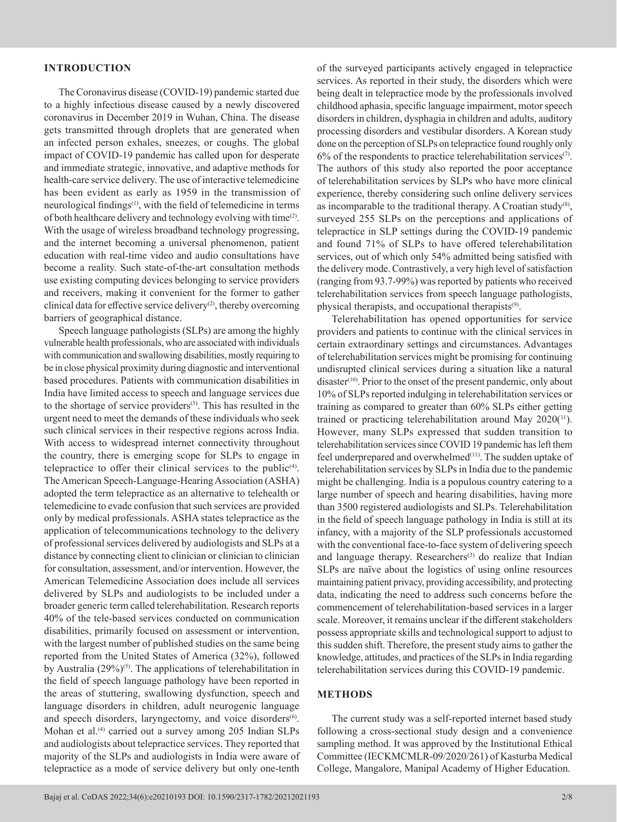# **INTRODUCTION**

The Coronavirus disease (COVID-19) pandemic started due to a highly infectious disease caused by a newly discovered coronavirus in December 2019 in Wuhan, China. The disease gets transmitted through droplets that are generated when an infected person exhales, sneezes, or coughs. The global impact of COVID-19 pandemic has called upon for desperate and immediate strategic, innovative, and adaptive methods for health-care service delivery. The use of interactive telemedicine has been evident as early as 1959 in the transmission of neurological findings<sup>(1)</sup>, with the field of telemedicine in terms of both healthcare delivery and technology evolving with time<sup>(2)</sup>. With the usage of wireless broadband technology progressing, and the internet becoming a universal phenomenon, patient education with real-time video and audio consultations have become a reality. Such state-of-the-art consultation methods use existing computing devices belonging to service providers and receivers, making it convenient for the former to gather clinical data for effective service delivery $(2)$ , thereby overcoming barriers of geographical distance.

Speech language pathologists (SLPs) are among the highly vulnerable health professionals, who are associated with individuals with communication and swallowing disabilities, mostly requiring to be in close physical proximity during diagnostic and interventional based procedures. Patients with communication disabilities in India have limited access to speech and language services due to the shortage of service providers<sup>(3)</sup>. This has resulted in the urgent need to meet the demands of these individuals who seek such clinical services in their respective regions across India. With access to widespread internet connectivity throughout the country, there is emerging scope for SLPs to engage in telepractice to offer their clinical services to the public<sup> $(4)$ </sup>. The American Speech-Language-Hearing Association (ASHA) adopted the term telepractice as an alternative to telehealth or telemedicine to evade confusion that such services are provided only by medical professionals. ASHA states telepractice as the application of telecommunications technology to the delivery of professional services delivered by audiologists and SLPs at a distance by connecting client to clinician or clinician to clinician for consultation, assessment, and/or intervention. However, the American Telemedicine Association does include all services delivered by SLPs and audiologists to be included under a broader generic term called telerehabilitation. Research reports 40% of the tele-based services conducted on communication disabilities, primarily focused on assessment or intervention, with the largest number of published studies on the same being reported from the United States of America (32%), followed by Australia (29%)<sup>(5)</sup>. The applications of telerehabilitation in the field of speech language pathology have been reported in the areas of stuttering, swallowing dysfunction, speech and language disorders in children, adult neurogenic language and speech disorders, laryngectomy, and voice disorders<sup>(6)</sup>. Mohan et al.<sup>(4)</sup> carried out a survey among 205 Indian SLPs and audiologists about telepractice services. They reported that majority of the SLPs and audiologists in India were aware of telepractice as a mode of service delivery but only one-tenth

of the surveyed participants actively engaged in telepractice services. As reported in their study, the disorders which were being dealt in telepractice mode by the professionals involved childhood aphasia, specific language impairment, motor speech disorders in children, dysphagia in children and adults, auditory processing disorders and vestibular disorders. A Korean study done on the perception of SLPs on telepractice found roughly only  $6\%$  of the respondents to practice telerehabilitation services<sup>(7)</sup>. The authors of this study also reported the poor acceptance of telerehabilitation services by SLPs who have more clinical experience, thereby considering such online delivery services as incomparable to the traditional therapy. A Croatian study $(8)$ , surveyed 255 SLPs on the perceptions and applications of telepractice in SLP settings during the COVID-19 pandemic and found 71% of SLPs to have offered telerehabilitation services, out of which only 54% admitted being satisfied with the delivery mode. Contrastively, a very high level of satisfaction (ranging from 93.7-99%) was reported by patients who received telerehabilitation services from speech language pathologists, physical therapists, and occupational therapists<sup>(9)</sup>.

Telerehabilitation has opened opportunities for service providers and patients to continue with the clinical services in certain extraordinary settings and circumstances. Advantages of telerehabilitation services might be promising for continuing undisrupted clinical services during a situation like a natural disaster<sup>(10)</sup>. Prior to the onset of the present pandemic, only about 10% of SLPs reported indulging in telerehabilitation services or training as compared to greater than 60% SLPs either getting trained or practicing telerehabilitation around May 2020(<sup>11</sup>). However, many SLPs expressed that sudden transition to telerehabilitation services since COVID 19 pandemic has left them feel underprepared and overwhelmed<sup>(11)</sup>. The sudden uptake of telerehabilitation services by SLPs in India due to the pandemic might be challenging. India is a populous country catering to a large number of speech and hearing disabilities, having more than 3500 registered audiologists and SLPs. Telerehabilitation in the field of speech language pathology in India is still at its infancy, with a majority of the SLP professionals accustomed with the conventional face-to-face system of delivering speech and language therapy. Researchers<sup>(3)</sup> do realize that Indian SLPs are naïve about the logistics of using online resources maintaining patient privacy, providing accessibility, and protecting data, indicating the need to address such concerns before the commencement of telerehabilitation-based services in a larger scale. Moreover, it remains unclear if the different stakeholders possess appropriate skills and technological support to adjust to this sudden shift. Therefore, the present study aims to gather the knowledge, attitudes, and practices of the SLPs in India regarding telerehabilitation services during this COVID-19 pandemic.

# **METHODS**

The current study was a self-reported internet based study following a cross-sectional study design and a convenience sampling method. It was approved by the Institutional Ethical Committee (IECKMCMLR-09/2020/261) of Kasturba Medical College, Mangalore, Manipal Academy of Higher Education.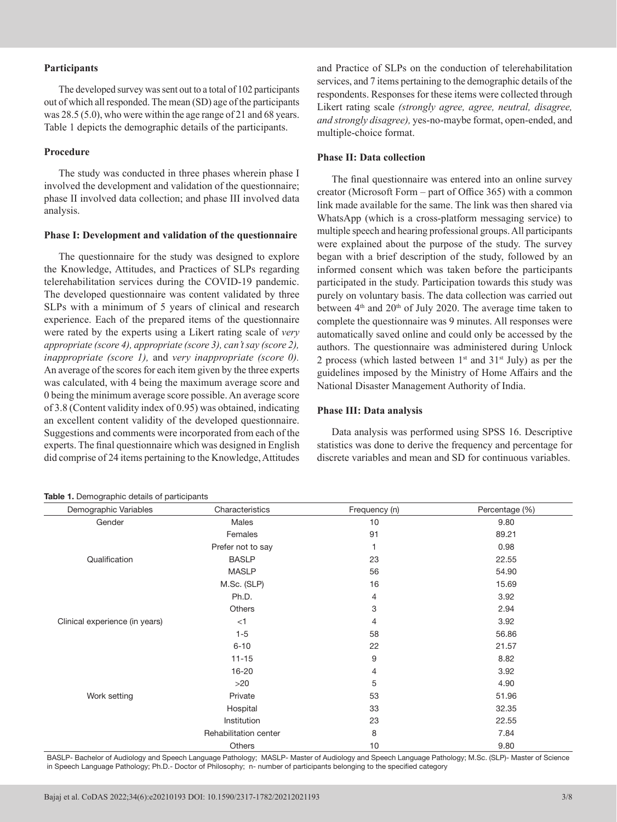# **Participants**

The developed survey was sent out to a total of 102 participants out of which all responded. The mean (SD) age of the participants was 28.5 (5.0), who were within the age range of 21 and 68 years. Table 1 depicts the demographic details of the participants.

# **Procedure**

The study was conducted in three phases wherein phase I involved the development and validation of the questionnaire; phase II involved data collection; and phase III involved data analysis.

## **Phase I: Development and validation of the questionnaire**

The questionnaire for the study was designed to explore the Knowledge, Attitudes, and Practices of SLPs regarding telerehabilitation services during the COVID-19 pandemic. The developed questionnaire was content validated by three SLPs with a minimum of 5 years of clinical and research experience. Each of the prepared items of the questionnaire were rated by the experts using a Likert rating scale of *very appropriate (score 4), appropriate (score 3), can't say (score 2), inappropriate (score 1),* and *very inappropriate (score 0).* An average of the scores for each item given by the three experts was calculated, with 4 being the maximum average score and 0 being the minimum average score possible. An average score of 3.8 (Content validity index of 0.95) was obtained, indicating an excellent content validity of the developed questionnaire. Suggestions and comments were incorporated from each of the experts. The final questionnaire which was designed in English did comprise of 24 items pertaining to the Knowledge, Attitudes

## **Table 1.** Demographic details of participants

and Practice of SLPs on the conduction of telerehabilitation services, and 7 items pertaining to the demographic details of the respondents. Responses for these items were collected through Likert rating scale *(strongly agree, agree, neutral, disagree, and strongly disagree),* yes-no-maybe format, open-ended, and multiple-choice format.

# **Phase II: Data collection**

The final questionnaire was entered into an online survey creator (Microsoft Form – part of Office 365) with a common link made available for the same. The link was then shared via WhatsApp (which is a cross-platform messaging service) to multiple speech and hearing professional groups. All participants were explained about the purpose of the study. The survey began with a brief description of the study, followed by an informed consent which was taken before the participants participated in the study. Participation towards this study was purely on voluntary basis. The data collection was carried out between 4<sup>th</sup> and 20<sup>th</sup> of July 2020. The average time taken to complete the questionnaire was 9 minutes. All responses were automatically saved online and could only be accessed by the authors. The questionnaire was administered during Unlock 2 process (which lasted between  $1^{st}$  and  $31^{st}$  July) as per the guidelines imposed by the Ministry of Home Affairs and the National Disaster Management Authority of India.

#### **Phase III: Data analysis**

Data analysis was performed using SPSS 16. Descriptive statistics was done to derive the frequency and percentage for discrete variables and mean and SD for continuous variables.

| Demographic Variables          | Characteristics       | Frequency (n)  | Percentage (%) |
|--------------------------------|-----------------------|----------------|----------------|
| Gender                         | Males                 | 10             | 9.80           |
|                                | Females               | 91             | 89.21          |
|                                | Prefer not to say     | 1              | 0.98           |
| Qualification                  | <b>BASLP</b>          | 23             | 22.55          |
|                                | <b>MASLP</b>          | 56             | 54.90          |
|                                | M.Sc. (SLP)           | 16             | 15.69          |
|                                | Ph.D.                 | $\overline{4}$ | 3.92           |
|                                | <b>Others</b>         | 3              | 2.94           |
| Clinical experience (in years) | $<$ 1                 | 4              | 3.92           |
|                                | $1 - 5$               | 58             | 56.86          |
|                                | $6 - 10$              | 22             | 21.57          |
|                                | $11 - 15$             | 9              | 8.82           |
|                                | $16 - 20$             | $\overline{4}$ | 3.92           |
|                                | >20                   | 5              | 4.90           |
| Work setting                   | Private               | 53             | 51.96          |
|                                | Hospital              | 33             | 32.35          |
|                                | Institution           | 23             | 22.55          |
|                                | Rehabilitation center | 8              | 7.84           |
|                                | <b>Others</b>         | 10             | 9.80           |

BASLP- Bachelor of Audiology and Speech Language Pathology; MASLP- Master of Audiology and Speech Language Pathology; M.Sc. (SLP)- Master of Science in Speech Language Pathology; Ph.D.- Doctor of Philosophy; n- number of participants belonging to the specified category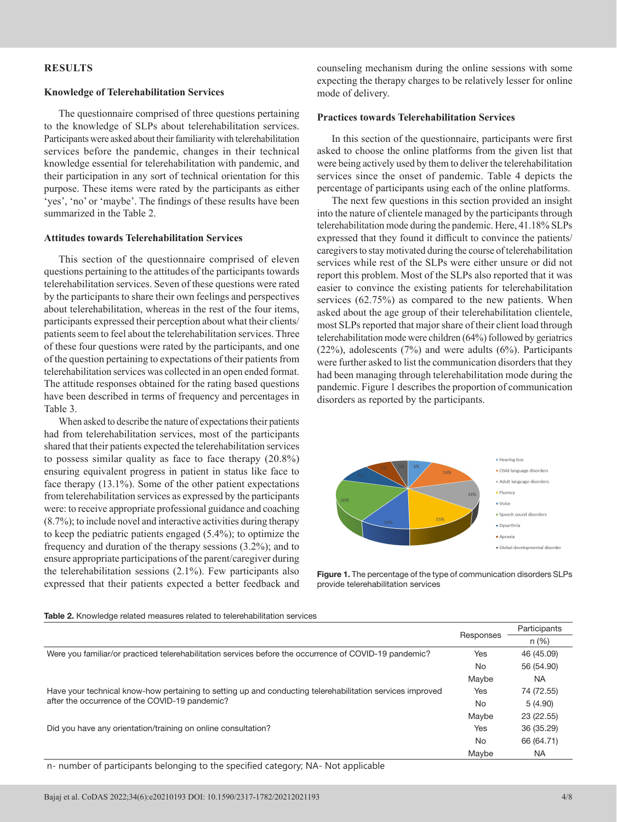# **RESULTS**

## **Knowledge of Telerehabilitation Services**

The questionnaire comprised of three questions pertaining to the knowledge of SLPs about telerehabilitation services. Participants were asked about their familiarity with telerehabilitation services before the pandemic, changes in their technical knowledge essential for telerehabilitation with pandemic, and their participation in any sort of technical orientation for this purpose. These items were rated by the participants as either 'yes', 'no' or 'maybe'. The findings of these results have been summarized in the Table 2.

# **Attitudes towards Telerehabilitation Services**

This section of the questionnaire comprised of eleven questions pertaining to the attitudes of the participants towards telerehabilitation services. Seven of these questions were rated by the participants to share their own feelings and perspectives about telerehabilitation, whereas in the rest of the four items, participants expressed their perception about what their clients/ patients seem to feel about the telerehabilitation services. Three of these four questions were rated by the participants, and one of the question pertaining to expectations of their patients from telerehabilitation services was collected in an open ended format. The attitude responses obtained for the rating based questions have been described in terms of frequency and percentages in Table 3.

When asked to describe the nature of expectations their patients had from telerehabilitation services, most of the participants shared that their patients expected the telerehabilitation services to possess similar quality as face to face therapy (20.8%) ensuring equivalent progress in patient in status like face to face therapy (13.1%). Some of the other patient expectations from telerehabilitation services as expressed by the participants were: to receive appropriate professional guidance and coaching (8.7%); to include novel and interactive activities during therapy to keep the pediatric patients engaged (5.4%); to optimize the frequency and duration of the therapy sessions (3.2%); and to ensure appropriate participations of the parent/caregiver during the telerehabilitation sessions (2.1%). Few participants also expressed that their patients expected a better feedback and counseling mechanism during the online sessions with some expecting the therapy charges to be relatively lesser for online mode of delivery.

## **Practices towards Telerehabilitation Services**

In this section of the questionnaire, participants were first asked to choose the online platforms from the given list that were being actively used by them to deliver the telerehabilitation services since the onset of pandemic. Table 4 depicts the percentage of participants using each of the online platforms.

The next few questions in this section provided an insight into the nature of clientele managed by the participants through telerehabilitation mode during the pandemic. Here, 41.18% SLPs expressed that they found it difficult to convince the patients/ caregivers to stay motivated during the course of telerehabilitation services while rest of the SLPs were either unsure or did not report this problem. Most of the SLPs also reported that it was easier to convince the existing patients for telerehabilitation services (62.75%) as compared to the new patients. When asked about the age group of their telerehabilitation clientele, most SLPs reported that major share of their client load through telerehabilitation mode were children (64%) followed by geriatrics (22%), adolescents (7%) and were adults (6%). Participants were further asked to list the communication disorders that they had been managing through telerehabilitation mode during the pandemic. Figure 1 describes the proportion of communication disorders as reported by the participants.



**Figure 1.** The percentage of the type of communication disorders SLPs provide telerehabilitation services

#### **Table 2.** Knowledge related measures related to telerehabilitation services

|                                                                                                           | Responses | Participants |
|-----------------------------------------------------------------------------------------------------------|-----------|--------------|
|                                                                                                           |           | $n (\%)$     |
| Were you familiar/or practiced telerehabilitation services before the occurrence of COVID-19 pandemic?    |           | 46 (45.09)   |
|                                                                                                           | No.       | 56 (54.90)   |
|                                                                                                           | Maybe     | <b>NA</b>    |
| Have your technical know-how pertaining to setting up and conducting telerehabilitation services improved | Yes       | 74 (72.55)   |
| after the occurrence of the COVID-19 pandemic?                                                            | No        | 5(4.90)      |
|                                                                                                           | Maybe     | 23 (22.55)   |
| Did you have any orientation/training on online consultation?                                             |           | 36 (35.29)   |
|                                                                                                           | <b>No</b> | 66 (64.71)   |
|                                                                                                           | Maybe     | <b>NA</b>    |

n- number of participants belonging to the specified category; NA- Not applicable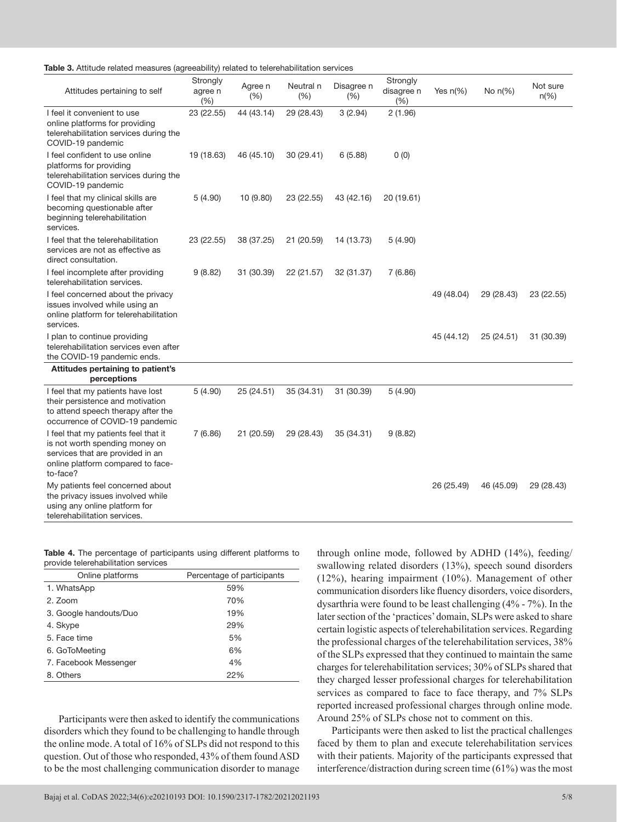| Table 3. Attitude related measures (agreeability) related to telerehabilitation services |  |  |  |
|------------------------------------------------------------------------------------------|--|--|--|
|------------------------------------------------------------------------------------------|--|--|--|

| Attitudes pertaining to self                                                                                                                                | Strongly<br>agree n<br>(%) | Agree n<br>(%) | Neutral n<br>(% ) | Disagree n<br>(% ) | Strongly<br>disagree n<br>(%) | Yes $n(\%)$ | No $n(\%)$ | Not sure<br>$n(\%)$ |
|-------------------------------------------------------------------------------------------------------------------------------------------------------------|----------------------------|----------------|-------------------|--------------------|-------------------------------|-------------|------------|---------------------|
| I feel it convenient to use<br>online platforms for providing<br>telerehabilitation services during the<br>COVID-19 pandemic                                | 23 (22.55)                 | 44 (43.14)     | 29 (28.43)        | 3(2.94)            | 2(1.96)                       |             |            |                     |
| I feel confident to use online<br>platforms for providing<br>telerehabilitation services during the<br>COVID-19 pandemic                                    | 19 (18.63)                 | 46 (45.10)     | 30 (29.41)        | 6(5.88)            | 0(0)                          |             |            |                     |
| I feel that my clinical skills are<br>becoming questionable after<br>beginning telerehabilitation<br>services.                                              | 5(4.90)                    | 10 (9.80)      | 23 (22.55)        | 43 (42.16)         | 20 (19.61)                    |             |            |                     |
| I feel that the telerehabilitation<br>services are not as effective as<br>direct consultation.                                                              | 23 (22.55)                 | 38 (37.25)     | 21 (20.59)        | 14 (13.73)         | 5(4.90)                       |             |            |                     |
| I feel incomplete after providing<br>telerehabilitation services.                                                                                           | 9(8.82)                    | 31 (30.39)     | 22 (21.57)        | 32 (31.37)         | 7(6.86)                       |             |            |                     |
| I feel concerned about the privacy<br>issues involved while using an<br>online platform for telerehabilitation<br>services.                                 |                            |                |                   |                    |                               | 49 (48.04)  | 29 (28.43) | 23 (22.55)          |
| I plan to continue providing<br>telerehabilitation services even after<br>the COVID-19 pandemic ends.                                                       |                            |                |                   |                    |                               | 45 (44.12)  | 25 (24.51) | 31 (30.39)          |
| Attitudes pertaining to patient's<br>perceptions                                                                                                            |                            |                |                   |                    |                               |             |            |                     |
| I feel that my patients have lost<br>their persistence and motivation<br>to attend speech therapy after the<br>occurrence of COVID-19 pandemic              | 5(4.90)                    | 25 (24.51)     | 35 (34.31)        | 31 (30.39)         | 5(4.90)                       |             |            |                     |
| I feel that my patients feel that it<br>is not worth spending money on<br>services that are provided in an<br>online platform compared to face-<br>to-face? | 7(6.86)                    | 21 (20.59)     | 29 (28.43)        | 35 (34.31)         | 9(8.82)                       |             |            |                     |
| My patients feel concerned about<br>the privacy issues involved while<br>using any online platform for<br>telerehabilitation services.                      |                            |                |                   |                    |                               | 26 (25.49)  | 46 (45.09) | 29 (28.43)          |

|  |                                     | Table 4. The percentage of participants using different platforms to |  |  |
|--|-------------------------------------|----------------------------------------------------------------------|--|--|
|  | provide telerehabilitation services |                                                                      |  |  |

| Online platforms       | Percentage of participants |
|------------------------|----------------------------|
| 1. WhatsApp            | 59%                        |
| 2. Zoom                | 70%                        |
| 3. Google handouts/Duo | 19%                        |
| 4. Skype               | 29%                        |
| 5. Face time           | 5%                         |
| 6. GoToMeeting         | 6%                         |
| 7. Facebook Messenger  | 4%                         |
| 8. Others              | 22%                        |

Participants were then asked to identify the communications disorders which they found to be challenging to handle through the online mode. A total of 16% of SLPs did not respond to this question. Out of those who responded, 43% of them found ASD to be the most challenging communication disorder to manage

Bajaj et al. CoDAS 2022;34(6):e20210193 DOI: 10.1590/2317-1782/20212021193 5/8

through online mode, followed by ADHD (14%), feeding/ swallowing related disorders (13%), speech sound disorders (12%), hearing impairment (10%). Management of other communication disorders like fluency disorders, voice disorders, dysarthria were found to be least challenging (4% - 7%). In the later section of the 'practices' domain, SLPs were asked to share certain logistic aspects of telerehabilitation services. Regarding the professional charges of the telerehabilitation services, 38% of the SLPs expressed that they continued to maintain the same charges for telerehabilitation services; 30% of SLPs shared that they charged lesser professional charges for telerehabilitation services as compared to face to face therapy, and 7% SLPs reported increased professional charges through online mode. Around 25% of SLPs chose not to comment on this.

Participants were then asked to list the practical challenges faced by them to plan and execute telerehabilitation services with their patients. Majority of the participants expressed that interference/distraction during screen time (61%) was the most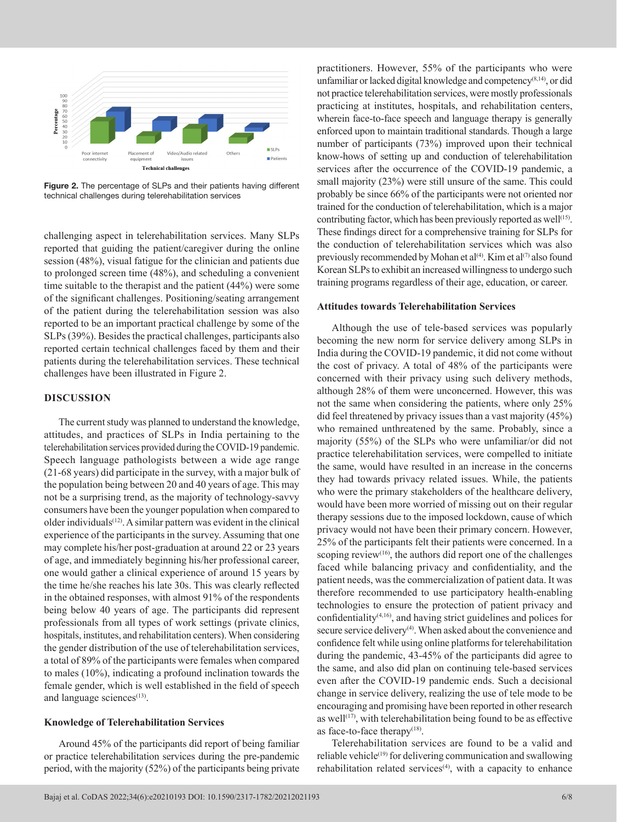

**Figure 2.** The percentage of SLPs and their patients having different technical challenges during telerehabilitation services

challenging aspect in telerehabilitation services. Many SLPs reported that guiding the patient/caregiver during the online session (48%), visual fatigue for the clinician and patients due to prolonged screen time (48%), and scheduling a convenient time suitable to the therapist and the patient (44%) were some of the significant challenges. Positioning/seating arrangement of the patient during the telerehabilitation session was also reported to be an important practical challenge by some of the SLPs (39%). Besides the practical challenges, participants also reported certain technical challenges faced by them and their patients during the telerehabilitation services. These technical challenges have been illustrated in Figure 2.

# **DISCUSSION**

The current study was planned to understand the knowledge, attitudes, and practices of SLPs in India pertaining to the telerehabilitation services provided during the COVID-19 pandemic. Speech language pathologists between a wide age range (21-68 years) did participate in the survey, with a major bulk of the population being between 20 and 40 years of age. This may not be a surprising trend, as the majority of technology-savvy consumers have been the younger population when compared to older individuals<sup>(12)</sup>. A similar pattern was evident in the clinical experience of the participants in the survey. Assuming that one may complete his/her post-graduation at around 22 or 23 years of age, and immediately beginning his/her professional career, one would gather a clinical experience of around 15 years by the time he/she reaches his late 30s. This was clearly reflected in the obtained responses, with almost 91% of the respondents being below 40 years of age. The participants did represent professionals from all types of work settings (private clinics, hospitals, institutes, and rehabilitation centers). When considering the gender distribution of the use of telerehabilitation services, a total of 89% of the participants were females when compared to males (10%), indicating a profound inclination towards the female gender, which is well established in the field of speech and language sciences<sup>(13)</sup>.

## **Knowledge of Telerehabilitation Services**

Around 45% of the participants did report of being familiar or practice telerehabilitation services during the pre-pandemic period, with the majority (52%) of the participants being private practitioners. However, 55% of the participants who were unfamiliar or lacked digital knowledge and competency<sup>(8,14)</sup>, or did not practice telerehabilitation services, were mostly professionals practicing at institutes, hospitals, and rehabilitation centers, wherein face-to-face speech and language therapy is generally enforced upon to maintain traditional standards. Though a large number of participants (73%) improved upon their technical know-hows of setting up and conduction of telerehabilitation services after the occurrence of the COVID-19 pandemic, a small majority (23%) were still unsure of the same. This could probably be since 66% of the participants were not oriented nor trained for the conduction of telerehabilitation, which is a major contributing factor, which has been previously reported as well<sup>(15)</sup>. These findings direct for a comprehensive training for SLPs for the conduction of telerehabilitation services which was also previously recommended by Mohan et  $al^{(4)}$ . Kim et al<sup>(7)</sup> also found Korean SLPs to exhibit an increased willingness to undergo such training programs regardless of their age, education, or career.

## **Attitudes towards Telerehabilitation Services**

Although the use of tele-based services was popularly becoming the new norm for service delivery among SLPs in India during the COVID-19 pandemic, it did not come without the cost of privacy. A total of 48% of the participants were concerned with their privacy using such delivery methods, although 28% of them were unconcerned. However, this was not the same when considering the patients, where only 25% did feel threatened by privacy issues than a vast majority (45%) who remained unthreatened by the same. Probably, since a majority (55%) of the SLPs who were unfamiliar/or did not practice telerehabilitation services, were compelled to initiate the same, would have resulted in an increase in the concerns they had towards privacy related issues. While, the patients who were the primary stakeholders of the healthcare delivery, would have been more worried of missing out on their regular therapy sessions due to the imposed lockdown, cause of which privacy would not have been their primary concern. However, 25% of the participants felt their patients were concerned. In a scoping review<sup>(16)</sup>, the authors did report one of the challenges faced while balancing privacy and confidentiality, and the patient needs, was the commercialization of patient data. It was therefore recommended to use participatory health-enabling technologies to ensure the protection of patient privacy and confidentiality(4,16) , and having strict guidelines and polices for secure service delivery<sup>(4)</sup>. When asked about the convenience and confidence felt while using online platforms for telerehabilitation during the pandemic, 43-45% of the participants did agree to the same, and also did plan on continuing tele-based services even after the COVID-19 pandemic ends. Such a decisional change in service delivery, realizing the use of tele mode to be encouraging and promising have been reported in other research as well $(17)$ , with telerehabilitation being found to be as effective as face-to-face therapy $(18)$ .

Telerehabilitation services are found to be a valid and reliable vehicle<sup>(19)</sup> for delivering communication and swallowing rehabilitation related services<sup>(4)</sup>, with a capacity to enhance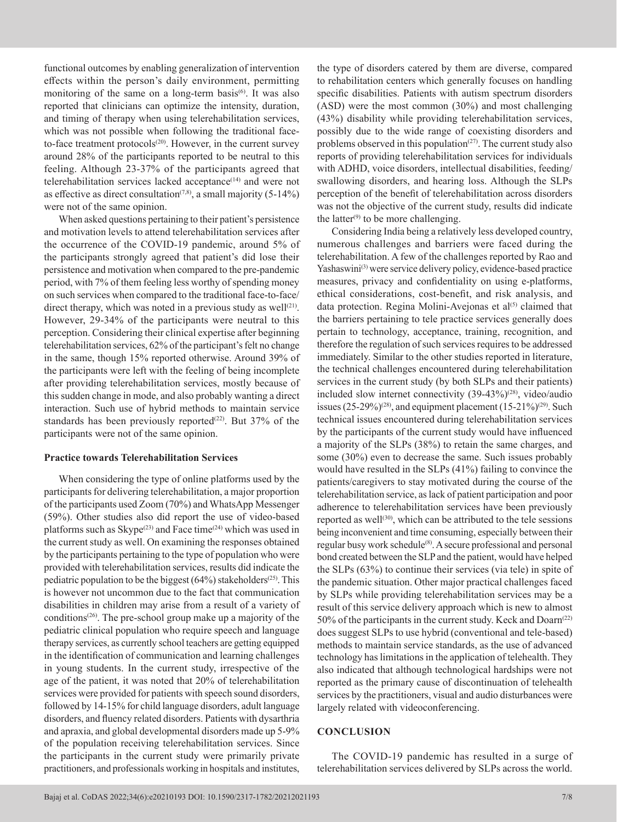functional outcomes by enabling generalization of intervention effects within the person's daily environment, permitting monitoring of the same on a long-term basis<sup>(6)</sup>. It was also reported that clinicians can optimize the intensity, duration, and timing of therapy when using telerehabilitation services, which was not possible when following the traditional faceto-face treatment protocols<sup>(20)</sup>. However, in the current survey around 28% of the participants reported to be neutral to this feeling. Although 23-37% of the participants agreed that telerehabilitation services lacked acceptance<sup>(14)</sup> and were not as effective as direct consultation<sup> $(7,8)$ </sup>, a small majority  $(5-14%)$ were not of the same opinion.

When asked questions pertaining to their patient's persistence and motivation levels to attend telerehabilitation services after the occurrence of the COVID-19 pandemic, around 5% of the participants strongly agreed that patient's did lose their persistence and motivation when compared to the pre-pandemic period, with 7% of them feeling less worthy of spending money on such services when compared to the traditional face-to-face/ direct therapy, which was noted in a previous study as well $(21)$ . However, 29-34% of the participants were neutral to this perception. Considering their clinical expertise after beginning telerehabilitation services, 62% of the participant's felt no change in the same, though 15% reported otherwise. Around 39% of the participants were left with the feeling of being incomplete after providing telerehabilitation services, mostly because of this sudden change in mode, and also probably wanting a direct interaction. Such use of hybrid methods to maintain service standards has been previously reported<sup>(22)</sup>. But 37% of the participants were not of the same opinion.

# **Practice towards Telerehabilitation Services**

When considering the type of online platforms used by the participants for delivering telerehabilitation, a major proportion of the participants used Zoom (70%) and WhatsApp Messenger (59%). Other studies also did report the use of video-based platforms such as Skype<sup>(23)</sup> and Face time<sup>(24)</sup> which was used in the current study as well. On examining the responses obtained by the participants pertaining to the type of population who were provided with telerehabilitation services, results did indicate the pediatric population to be the biggest  $(64%)$  stakeholders<sup>(25)</sup>. This is however not uncommon due to the fact that communication disabilities in children may arise from a result of a variety of conditions<sup>(26)</sup>. The pre-school group make up a majority of the pediatric clinical population who require speech and language therapy services, as currently school teachers are getting equipped in the identification of communication and learning challenges in young students. In the current study, irrespective of the age of the patient, it was noted that 20% of telerehabilitation services were provided for patients with speech sound disorders, followed by 14-15% for child language disorders, adult language disorders, and fluency related disorders. Patients with dysarthria and apraxia, and global developmental disorders made up 5-9% of the population receiving telerehabilitation services. Since the participants in the current study were primarily private practitioners, and professionals working in hospitals and institutes,

the type of disorders catered by them are diverse, compared to rehabilitation centers which generally focuses on handling specific disabilities. Patients with autism spectrum disorders (ASD) were the most common (30%) and most challenging (43%) disability while providing telerehabilitation services, possibly due to the wide range of coexisting disorders and problems observed in this population $(27)$ . The current study also reports of providing telerehabilitation services for individuals with ADHD, voice disorders, intellectual disabilities, feeding/ swallowing disorders, and hearing loss. Although the SLPs perception of the benefit of telerehabilitation across disorders was not the objective of the current study, results did indicate the latter $(9)$  to be more challenging.

Considering India being a relatively less developed country, numerous challenges and barriers were faced during the telerehabilitation. A few of the challenges reported by Rao and Yashaswini<sup>(3)</sup> were service delivery policy, evidence-based practice measures, privacy and confidentiality on using e-platforms, ethical considerations, cost-benefit, and risk analysis, and data protection. Regina Molini-Avejonas et al<sup>(5)</sup> claimed that the barriers pertaining to tele practice services generally does pertain to technology, acceptance, training, recognition, and therefore the regulation of such services requires to be addressed immediately. Similar to the other studies reported in literature, the technical challenges encountered during telerehabilitation services in the current study (by both SLPs and their patients) included slow internet connectivity  $(39-43\%)^{(28)}$ , video/audio issues  $(25-29\%)^{(28)}$ , and equipment placement  $(15-21\%)^{(29)}$ . Such technical issues encountered during telerehabilitation services by the participants of the current study would have influenced a majority of the SLPs (38%) to retain the same charges, and some (30%) even to decrease the same. Such issues probably would have resulted in the SLPs (41%) failing to convince the patients/caregivers to stay motivated during the course of the telerehabilitation service, as lack of patient participation and poor adherence to telerehabilitation services have been previously reported as well<sup>(30)</sup>, which can be attributed to the tele sessions being inconvenient and time consuming, especially between their regular busy work schedule<sup>(8)</sup>. A secure professional and personal bond created between the SLP and the patient, would have helped the SLPs (63%) to continue their services (via tele) in spite of the pandemic situation. Other major practical challenges faced by SLPs while providing telerehabilitation services may be a result of this service delivery approach which is new to almost 50% of the participants in the current study. Keck and Doarn<sup>(22)</sup> does suggest SLPs to use hybrid (conventional and tele-based) methods to maintain service standards, as the use of advanced technology has limitations in the application of telehealth. They also indicated that although technological hardships were not reported as the primary cause of discontinuation of telehealth services by the practitioners, visual and audio disturbances were largely related with videoconferencing.

#### **CONCLUSION**

The COVID-19 pandemic has resulted in a surge of telerehabilitation services delivered by SLPs across the world.